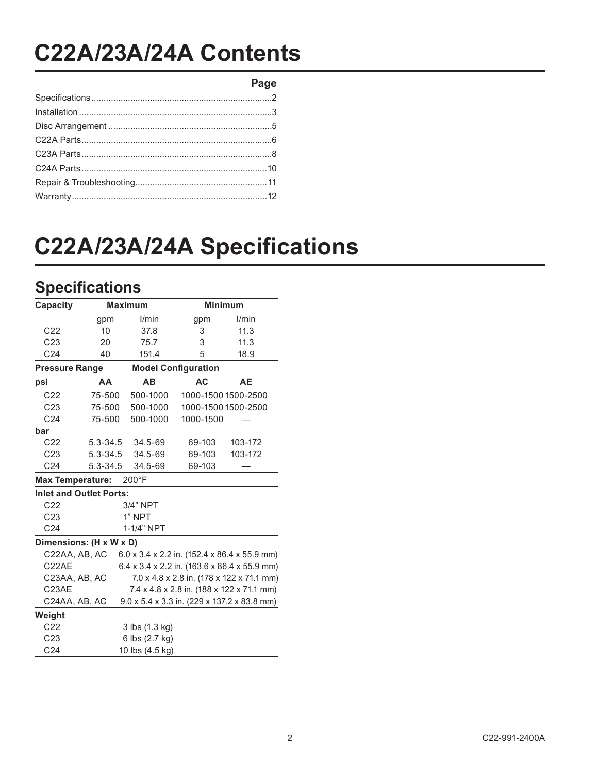## **C22A/23A/24A'Contents**

**Page**

# **C22A/23A/24A Specifications**

### **Specifications**

| Capacity                | <b>Maximum</b>                 |                 |                            | <b>Minimum</b>                               |  |  |
|-------------------------|--------------------------------|-----------------|----------------------------|----------------------------------------------|--|--|
|                         | gpm                            | l/min           | gpm                        | I/min                                        |  |  |
| C <sub>22</sub>         | 10                             | 37.8            | 3                          | 11.3                                         |  |  |
| C <sub>23</sub>         | 20                             | 75.7            | 3                          | 11.3                                         |  |  |
| C <sub>24</sub>         | 40                             | 151.4           | 5                          | 18.9                                         |  |  |
| <b>Pressure Range</b>   |                                |                 | <b>Model Configuration</b> |                                              |  |  |
| psi                     | AA                             | AB              | <b>AC</b>                  | AE                                           |  |  |
| C <sub>22</sub>         | 75-500                         | 500-1000        |                            | 1000-1500 1500-2500                          |  |  |
| C <sub>23</sub>         | 75-500                         | 500-1000        |                            | 1000-1500 1500-2500                          |  |  |
| C <sub>24</sub>         | 75-500                         | 500-1000        | 1000-1500                  |                                              |  |  |
| bar                     |                                |                 |                            |                                              |  |  |
| C <sub>22</sub>         | 5.3-34.5                       | 34.5-69         | 69-103                     | 103-172                                      |  |  |
| C <sub>23</sub>         | 5.3-34.5                       | 34.5-69         | 69-103                     | 103-172                                      |  |  |
| C <sub>24</sub>         | $5.3 - 34.5$                   | 34.5-69         | 69-103                     |                                              |  |  |
| <b>Max Temperature:</b> |                                | $200^{\circ}$ F |                            |                                              |  |  |
|                         | <b>Inlet and Outlet Ports:</b> |                 |                            |                                              |  |  |
| C <sub>22</sub>         |                                | 3/4" NPT        |                            |                                              |  |  |
| C <sub>23</sub>         |                                | 1" NPT          |                            |                                              |  |  |
| C <sub>24</sub>         |                                | 1-1/4" NPT      |                            |                                              |  |  |
|                         | Dimensions: (H x W x D)        |                 |                            |                                              |  |  |
| C22AA, AB, AC           |                                |                 |                            | 6.0 x 3.4 x 2.2 in. (152.4 x 86.4 x 55.9 mm) |  |  |
| C <sub>2</sub> 2AE      |                                |                 |                            | 6.4 x 3.4 x 2.2 in. (163.6 x 86.4 x 55.9 mm) |  |  |
| C23AA, AB, AC           |                                |                 |                            | 7.0 x 4.8 x 2.8 in. (178 x 122 x 71.1 mm)    |  |  |
| C23AE                   |                                |                 |                            | 7.4 x 4.8 x 2.8 in. (188 x 122 x 71.1 mm)    |  |  |
| C24AA, AB, AC           |                                |                 |                            | 9.0 x 5.4 x 3.3 in. (229 x 137.2 x 83.8 mm)  |  |  |
| Weight                  |                                |                 |                            |                                              |  |  |
| C <sub>22</sub>         |                                | 3 lbs (1.3 kg)  |                            |                                              |  |  |
| C <sub>23</sub>         |                                | 6 lbs (2.7 kg)  |                            |                                              |  |  |
| C <sub>24</sub>         |                                | 10 lbs (4.5 kg) |                            |                                              |  |  |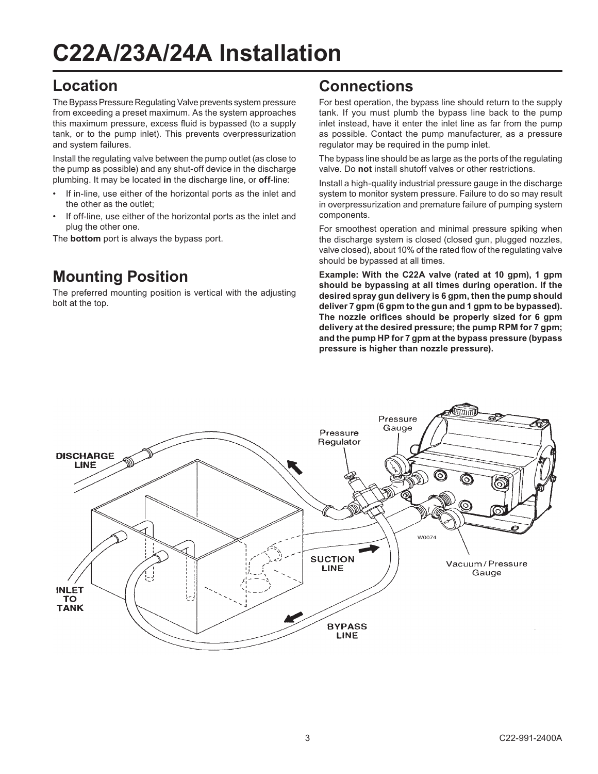# **C22A/23A/24A'Installation**

#### **Location**

The Bypass Pressure Regulating Valve prevents system pressure from exceeding a preset maximum. As the system approaches this maximum pressure, excess fluid is bypassed (to a supply tank, or to the pump inlet). This prevents overpressurization and system failures.

Install the regulating valve between the pump outlet (as close to the pump as possible) and any shut-off device in the discharge plumbing. It may be located in the discharge line, or **off-line**:

- If in-line, use either of the horizontal ports as the inlet and the other as the outlet:
- If off-line, use either of the horizontal ports as the inlet and plug the other one.

The **bottom** port is always the bypass port.

### **Mounting Position**

The preferred mounting position is vertical with the adjusting bolt at the top.

#### **Connections**

For best operation, the bypass line should return to the supply tank. If you must plumb the bypass line back to the pump inlet instead, have it enter the inlet line as far from the pump as possible. Contact the pump manufacturer, as a pressure regulator may be required in the pump inlet.

The bypass line should be as large as the ports of the regulating valve. Do **not** install shutoff valves or other restrictions.

Install a high-quality industrial pressure gauge in the discharge system to monitor system pressure. Failure to do so may result in overpressurization and premature failure of pumping system components.

For smoothest operation and minimal pressure spiking when the discharge system is closed (closed gun, plugged nozzles, valve closed), about 10% of the rated flow of the regulating valve should be bypassed at all times.

Example: With the C22A valve (rated at 10 gpm), 1 gpm should be bypassing at all times during operation. If the desired spray gun delivery is 6 gpm, then the pump should deliver 7 gpm (6 gpm to the gun and 1 gpm to be bypassed). The nozzle orifices should be properly sized for 6 gpm delivery at the desired pressure; the pump RPM for 7 gpm; **and'the'pump'HP'for'7'gpm'at'the'bypass'pressure'(bypass'** pressure is higher than nozzle pressure).

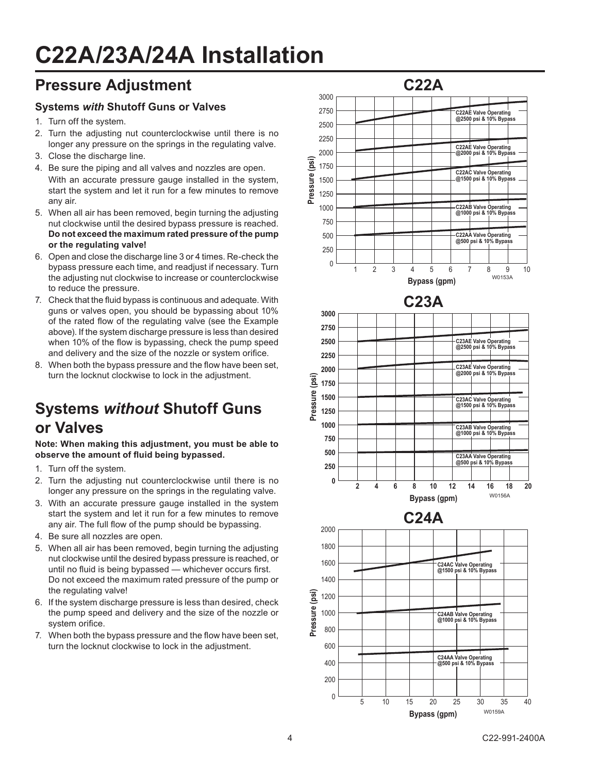# **C22A/23A/24A'Installation**

#### **Pressure Adjustment**

#### **Systems'***with%***Shutoff'Guns'or'Valves**

- 1. Turn off the system.
- 2. Turn the adjusting nut counterclockwise until there is no longer any pressure on the springs in the regulating valve.
- 3. Close the discharge line.
- 4. Be sure the piping and all valves and nozzles are open. With an accurate pressure gauge installed in the system, start the system and let it run for a few minutes to remove any air.
- 5. When all air has been removed, begin turning the adjusting nut clockwise until the desired bypass pressure is reached. **Do'not'exceed'the'maximum'rated'pressure'of'the'pump'** or the regulating valve!
- 6. Open and close the discharge line 3 or 4 times. Re-check the bypass pressure each time, and readjust if necessary. Turn the adjusting nut clockwise to increase or counterclockwise to reduce the pressure.
- 7. Check that the fluid bypass is continuous and adequate. With guns or valves open, you should be bypassing about 10% of the rated flow of the regulating valve (see the Example above). If the system discharge pressure is less than desired when 10% of the flow is bypassing, check the pump speed and delivery and the size of the nozzle or system orifice.
- 8. When both the bypass pressure and the flow have been set, turn the locknut clockwise to lock in the adjustment.

## **Systems'***without***'Shutoff'Guns' or'Valves**

Note: When making this adjustment, you must be able to observe the amount of fluid being bypassed.

- 1. Turn off the system.
- 2. Turn the adjusting nut counterclockwise until there is no longer any pressure on the springs in the regulating valve.
- 3. With an accurate pressure gauge installed in the system start the system and let it run for a few minutes to remove any air. The full flow of the pump should be bypassing.
- 4. Be sure all nozzles are open.
- 5. When all air has been removed, begin turning the adjusting nut clockwise until the desired bypass pressure is reached, or until no fluid is being bypassed - whichever occurs first. Do not exceed the maximum rated pressure of the pump or the regulating valve!
- 6. If the system discharge pressure is less than desired, check the pump speed and delivery and the size of the nozzle or system orifice.
- 7. When both the bypass pressure and the flow have been set. turn the locknut clockwise to lock in the adjustment.